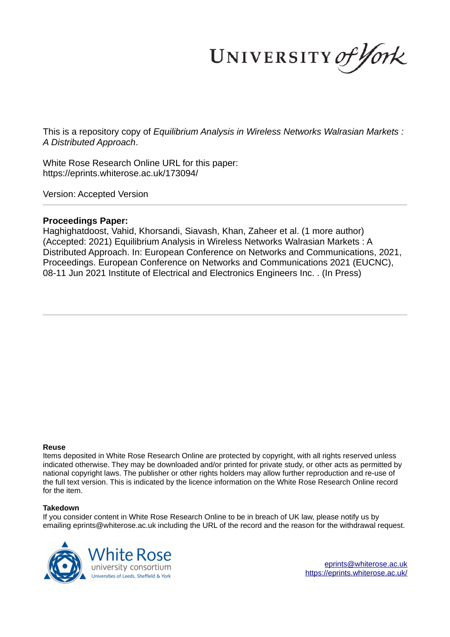UNIVERSITY of York

This is a repository copy of *Equilibrium Analysis in Wireless Networks Walrasian Markets : A Distributed Approach*.

White Rose Research Online URL for this paper: https://eprints.whiterose.ac.uk/173094/

Version: Accepted Version

# **Proceedings Paper:**

Haghighatdoost, Vahid, Khorsandi, Siavash, Khan, Zaheer et al. (1 more author) (Accepted: 2021) Equilibrium Analysis in Wireless Networks Walrasian Markets : A Distributed Approach. In: European Conference on Networks and Communications, 2021, Proceedings. European Conference on Networks and Communications 2021 (EUCNC), 08-11 Jun 2021 Institute of Electrical and Electronics Engineers Inc. . (In Press)

### **Reuse**

Items deposited in White Rose Research Online are protected by copyright, with all rights reserved unless indicated otherwise. They may be downloaded and/or printed for private study, or other acts as permitted by national copyright laws. The publisher or other rights holders may allow further reproduction and re-use of the full text version. This is indicated by the licence information on the White Rose Research Online record for the item.

## **Takedown**

If you consider content in White Rose Research Online to be in breach of UK law, please notify us by emailing eprints@whiterose.ac.uk including the URL of the record and the reason for the withdrawal request.



eprints@whiterose.ac.uk https://eprints.whiterose.ac.uk/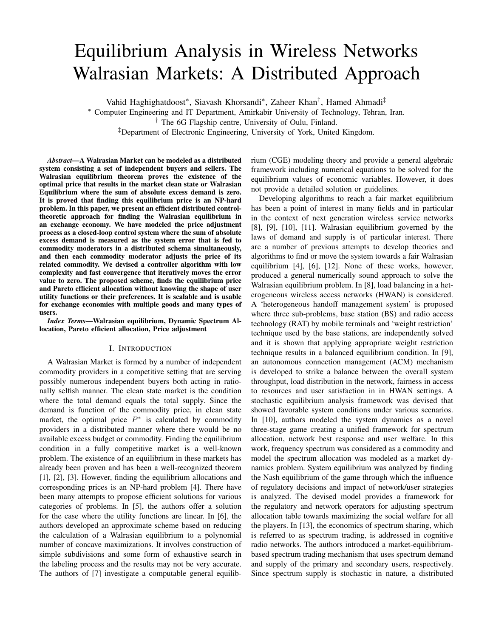# Equilibrium Analysis in Wireless Networks Walrasian Markets: A Distributed Approach

Vahid Haghighatdoost∗ , Siavash Khorsandi∗ , Zaheer Khan† , Hamed Ahmadi‡

∗ Computer Engineering and IT Department, Amirkabir University of Technology, Tehran, Iran.

† The 6G Flagship centre, University of Oulu, Finland.

‡Department of Electronic Engineering, University of York, United Kingdom.

*Abstract*—A Walrasian Market can be modeled as a distributed system consisting a set of independent buyers and sellers. The Walrasian equilibrium theorem proves the existence of the optimal price that results in the market clean state or Walrasian Equilibrium where the sum of absolute excess demand is zero. It is proved that finding this equilibrium price is an NP-hard problem. In this paper, we present an efficient distributed controltheoretic approach for finding the Walrasian equilibrium in an exchange economy. We have modeled the price adjustment process as a closed-loop control system where the sum of absolute excess demand is measured as the system error that is fed to commodity moderators in a distributed schema simultaneously, and then each commodity moderator adjusts the price of its related commodity. We devised a controller algorithm with low complexity and fast convergence that iteratively moves the error value to zero. The proposed scheme, finds the equilibrium price and Pareto efficient allocation without knowing the shape of user utility functions or their preferences. It is scalable and is usable for exchange economies with multiple goods and many types of users.

*Index Terms*—Walrasian equilibrium, Dynamic Spectrum Allocation, Pareto efficient allocation, Price adjustment

#### I. INTRODUCTION

A Walrasian Market is formed by a number of independent commodity providers in a competitive setting that are serving possibly numerous independent buyers both acting in rationally selfish manner. The clean state market is the condition where the total demand equals the total supply. Since the demand is function of the commodity price, in clean state market, the optimal price  $P^*$  is calculated by commodity providers in a distributed manner where there would be no available excess budget or commodity. Finding the equilibrium condition in a fully competitive market is a well-known problem. The existence of an equilibrium in these markets has already been proven and has been a well-recognized theorem [1], [2], [3]. However, finding the equilibrium allocations and corresponding prices is an NP-hard problem [4]. There have been many attempts to propose efficient solutions for various categories of problems. In [5], the authors offer a solution for the case where the utility functions are linear. In [6], the authors developed an approximate scheme based on reducing the calculation of a Walrasian equilibrium to a polynomial number of concave maximizations. It involves construction of simple subdivisions and some form of exhaustive search in the labeling process and the results may not be very accurate. The authors of [7] investigate a computable general equilibrium (CGE) modeling theory and provide a general algebraic framework including numerical equations to be solved for the equilibrium values of economic variables. However, it does not provide a detailed solution or guidelines.

Developing algorithms to reach a fair market equilibrium has been a point of interest in many fields and in particular in the context of next generation wireless service networks [8], [9], [10], [11]. Walrasian equilibrium governed by the laws of demand and supply is of particular interest. There are a number of previous attempts to develop theories and algorithms to find or move the system towards a fair Walrasian equilibrium [4], [6], [12]. None of these works, however, produced a general numerically sound approach to solve the Walrasian equilibrium problem. In [8], load balancing in a heterogeneous wireless access networks (HWAN) is considered. A 'heterogeneous handoff management system' is proposed where three sub-problems, base station (BS) and radio access technology (RAT) by mobile terminals and 'weight restriction' technique used by the base stations, are independently solved and it is shown that applying appropriate weight restriction technique results in a balanced equilibrium condition. In [9], an autonomous connection management (ACM) mechanism is developed to strike a balance between the overall system throughput, load distribution in the network, fairness in access to resources and user satisfaction in in HWAN settings. A stochastic equilibrium analysis framework was devised that showed favorable system conditions under various scenarios. In [10], authors modeled the system dynamics as a novel three-stage game creating a unified framework for spectrum allocation, network best response and user welfare. In this work, frequency spectrum was considered as a commodity and model the spectrum allocation was modeled as a market dynamics problem. System equilibrium was analyzed by finding the Nash equilibrium of the game through which the influence of regulatory decisions and impact of network/user strategies is analyzed. The devised model provides a framework for the regulatory and network operators for adjusting spectrum allocation table towards maximizing the social welfare for all the players. In [13], the economics of spectrum sharing, which is referred to as spectrum trading, is addressed in cognitive radio networks. The authors introduced a market-equilibriumbased spectrum trading mechanism that uses spectrum demand and supply of the primary and secondary users, respectively. Since spectrum supply is stochastic in nature, a distributed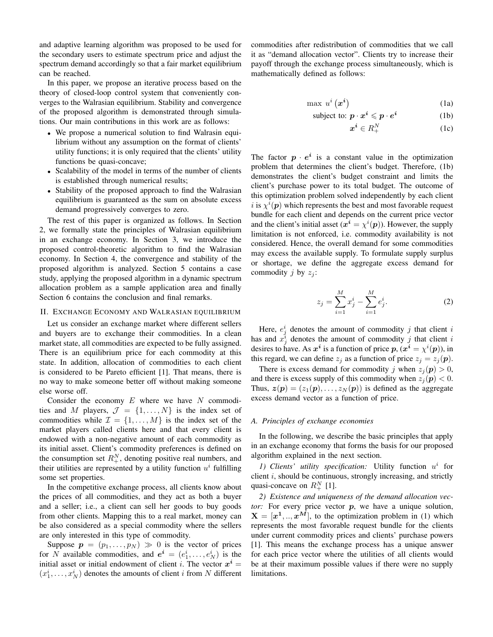and adaptive learning algorithm was proposed to be used for the secondary users to estimate spectrum price and adjust the spectrum demand accordingly so that a fair market equilibrium can be reached.

In this paper, we propose an iterative process based on the theory of closed-loop control system that conveniently converges to the Walrasian equilibrium. Stability and convergence of the proposed algorithm is demonstrated through simulations. Our main contributions in this work are as follows:

- We propose a numerical solution to find Walrasin equilibrium without any assumption on the format of clients' utility functions; it is only required that the clients' utility functions be quasi-concave;
- Scalability of the model in terms of the number of clients is established through numerical results;
- Stability of the proposed approach to find the Walrasian equilibrium is guaranteed as the sum on absolute excess demand progressively converges to zero.

The rest of this paper is organized as follows. In Section 2, we formally state the principles of Walrasian equilibrium in an exchange economy. In Section 3, we introduce the proposed control-theoretic algorithm to find the Walrasian economy. In Section 4, the convergence and stability of the proposed algorithm is analyzed. Section 5 contains a case study, applying the proposed algorithm in a dynamic spectrum allocation problem as a sample application area and finally Section 6 contains the conclusion and final remarks.

#### II. EXCHANGE ECONOMY AND WALRASIAN EQUILIBRIUM

Let us consider an exchange market where different sellers and buyers are to exchange their commodities. In a clean market state, all commodities are expected to be fully assigned. There is an equilibrium price for each commodity at this state. In addition, allocation of commodities to each client is considered to be Pareto efficient [1]. That means, there is no way to make someone better off without making someone else worse off.

Consider the economy  $E$  where we have  $N$  commodities and M players,  $\mathcal{J} = \{1, \ldots, N\}$  is the index set of commodities while  $\mathcal{I} = \{1, \ldots, M\}$  is the index set of the market players called clients here and that every client is endowed with a non-negative amount of each commodity as its initial asset. Client's commodity preferences is defined on the consumption set  $R_+^N$ , denoting positive real numbers, and their utilities are represented by a utility function  $u^i$  fulfilling some set properties.

In the competitive exchange process, all clients know about the prices of all commodities, and they act as both a buyer and a seller; i.e., a client can sell her goods to buy goods from other clients. Mapping this to a real market, money can be also considered as a special commodity where the sellers are only interested in this type of commodity.

Suppose  $p = (p_1, \ldots, p_N) \gg 0$  is the vector of prices for N available commodities, and  $e^i = (e_1^i, \dots, e_N^i)$  is the initial asset or initial endowment of client *i*. The vector  $x^i =$  $(x_1^i, \ldots, x_N^i)$  denotes the amounts of client *i* from *N* different commodities after redistribution of commodities that we call it as "demand allocation vector". Clients try to increase their payoff through the exchange process simultaneously, which is mathematically defined as follows:

$$
\max u^{i}\left(x^{i}\right) \tag{1a}
$$

subject to: 
$$
\boldsymbol{p} \cdot \boldsymbol{x}^i \leqslant \boldsymbol{p} \cdot \boldsymbol{e}^i
$$
 (1b)

$$
\boldsymbol{x}^{\boldsymbol{i}} \in R_+^N \tag{1c}
$$

The factor  $p \cdot e^i$  is a constant value in the optimization problem that determines the client's budget. Therefore, (1b) demonstrates the client's budget constraint and limits the client's purchase power to its total budget. The outcome of this optimization problem solved independently by each client *i* is  $\chi^{i}(\boldsymbol{p})$  which represents the best and most favorable request bundle for each client and depends on the current price vector and the client's initial asset  $(x^i = \chi^i(p))$ . However, the supply limitation is not enforced, i.e. commodity availability is not considered. Hence, the overall demand for some commodities may excess the available supply. To formulate supply surplus or shortage, we define the aggregate excess demand for commodity j by  $z_i$ :

$$
z_j = \sum_{i=1}^{M} x_j^i - \sum_{i=1}^{M} e_j^i.
$$
 (2)

Here,  $e_j^i$  denotes the amount of commodity j that client i has and  $x_j^i$  denotes the amount of commodity j that client i desires to have. As  $x^i$  is a function of price  $p$ ,  $(x^i = \chi^i(p))$ , in this regard, we can define  $z_j$  as a function of price  $z_j = z_j(p)$ .

There is excess demand for commodity j when  $z_i(\mathbf{p}) > 0$ , and there is excess supply of this commodity when  $z_i(\mathbf{p}) < 0$ . Thus,  $z(\mathbf{p}) = (z_1(\mathbf{p}), \dots, z_N(\mathbf{p}))$  is defined as the aggregate excess demand vector as a function of price.

#### *A. Principles of exchange economies*

In the following, we describe the basic principles that apply in an exchange economy that forms the basis for our proposed algorithm explained in the next section.

1) Clients' utility specification: Utility function  $u^i$  for client  $i$ , should be continuous, strongly increasing, and strictly quasi-concave on  $R^N_+$  [1].

*2) Existence and uniqueness of the demand allocation vector:* For every price vector p, we have a unique solution,  $X = [x^1, ..., x^M]$ , to the optimization problem in (1) which represents the most favorable request bundle for the clients under current commodity prices and clients' purchase powers [1]. This means the exchange process has a unique answer for each price vector where the utilities of all clients would be at their maximum possible values if there were no supply limitations.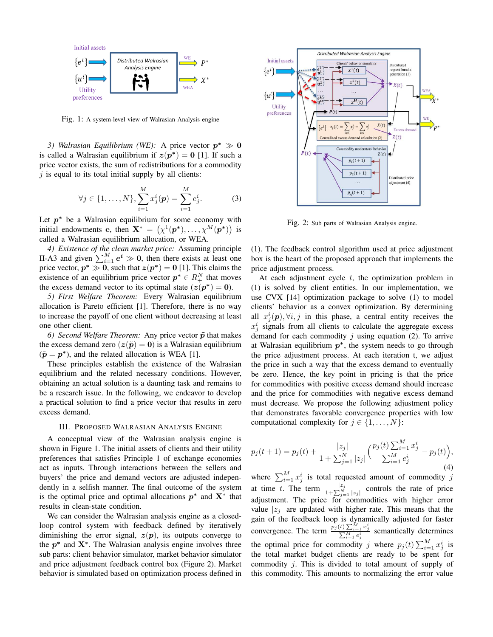

Fig. 1: A system-level view of Walrasian Analysis engine

3) Walrasian Equilibrium (WE): A price vector  $p^* \gg 0$ is called a Walrasian equilibrium if  $z(p^*) = 0$  [1]. If such a price vector exists, the sum of redistributions for a commodity  $\dot{\gamma}$  is equal to its total initial supply by all clients:

$$
\forall j \in \{1, ..., N\}, \sum_{i=1}^{M} x_j^i(\mathbf{p}) = \sum_{i=1}^{M} e_j^i.
$$
 (3)

Let  $p^*$  be a Walrasian equilibrium for some economy with initial endowments e, then  $\mathbf{X}^* = (\chi^1(\mathbf{p}^*), \dots, \chi^M(\mathbf{p}^*))$  is called a Walrasian equilibrium allocation, or WEA.

*4) Existence of the clean market price:* Assuming principle II-A3 and given  $\sum_{i=1}^{M} e^{i} \gg 0$ , then there exists at least one price vector,  $p^* \gg 0$ , such that  $z(p^*) = 0$  [1]. This claims the existence of an equilibrium price vector  $p^* \in R_+^N$  that moves the excess demand vector to its optimal state  $(z(p^*) = 0)$ .

*5) First Welfare Theorem:* Every Walrasian equilibrium allocation is Pareto efficient [1]. Therefore, there is no way to increase the payoff of one client without decreasing at least one other client.

*6)* Second Welfare Theorem: Any price vector  $\tilde{p}$  that makes the excess demand zero  $(z(\tilde{p}) = 0)$  is a Walrasian equilibrium  $(\tilde{p} = p^*)$ , and the related allocation is WEA [1].

These principles establish the existence of the Walrasian equilibrium and the related necessary conditions. However, obtaining an actual solution is a daunting task and remains to be a research issue. In the following, we endeavor to develop a practical solution to find a price vector that results in zero excess demand.

#### III. PROPOSED WALRASIAN ANALYSIS ENGINE

A conceptual view of the Walrasian analysis engine is shown in Figure 1. The initial assets of clients and their utility preferences that satisfies Principle 1 of exchange economies act as inputs. Through interactions between the sellers and buyers' the price and demand vectors are adjusted independently in a selfish manner. The final outcome of the system is the optimal price and optimal allocations  $p^*$  and  $X^*$  that results in clean-state condition.

We can consider the Walrasian analysis engine as a closedloop control system with feedback defined by iteratively diminishing the error signal,  $z(p)$ , its outputs converge to the  $p^*$  and  $X^*$ . The Walrasian analysis engine involves three sub parts: client behavior simulator, market behavior simulator and price adjustment feedback control box (Figure 2). Market behavior is simulated based on optimization process defined in



Fig. 2: Sub parts of Walrasian Analysis engine.

(1). The feedback control algorithm used at price adjustment box is the heart of the proposed approach that implements the price adjustment process.

At each adjustment cycle  $t$ , the optimization problem in (1) is solved by client entities. In our implementation, we use CVX [14] optimization package to solve (1) to model clients' behavior as a convex optimization. By determining all  $x_j^i(p), \forall i, j$  in this phase, a central entity receives the  $x_j^i$  signals from all clients to calculate the aggregate excess demand for each commodity  $j$  using equation (2). To arrive at Walrasian equilibrium  $p^*$ , the system needs to go through the price adjustment process. At each iteration t, we adjust the price in such a way that the excess demand to eventually be zero. Hence, the key point in pricing is that the price for commodities with positive excess demand should increase and the price for commodities with negative excess demand must decrease. We propose the following adjustment policy that demonstrates favorable convergence properties with low computational complexity for  $j \in \{1, \ldots, N\}$ :

$$
p_j(t+1) = p_j(t) + \frac{|z_j|}{1 + \sum_{j=1}^N |z_j|} \left( \frac{p_j(t) \sum_{i=1}^M x_j^i}{\sum_{i=1}^M e_j^i} - p_j(t) \right),\tag{4}
$$

where  $\sum_{i=1}^{M} x_j^i$  is total requested amount of commodity j at time t. The term  $\frac{|z_j|}{1+\sum_{j=1}^N |z_j|}$  controls the rate of price adjustment. The price for commodities with higher error value  $|z_i|$  are updated with higher rate. This means that the gain of the feedback loop is dynamically adjusted for faster convergence. The term  $\frac{p_j(t) \sum_{i=1}^{M} x_j^i}{\sum_{i=1}^{M} e_j^i}$  semantically determines the optimal price for commodity j where  $p_j(t) \sum_{i=1}^{M} x_j^i$  is the total market budget clients are ready to be spent for commodity j. This is divided to total amount of supply of this commodity. This amounts to normalizing the error value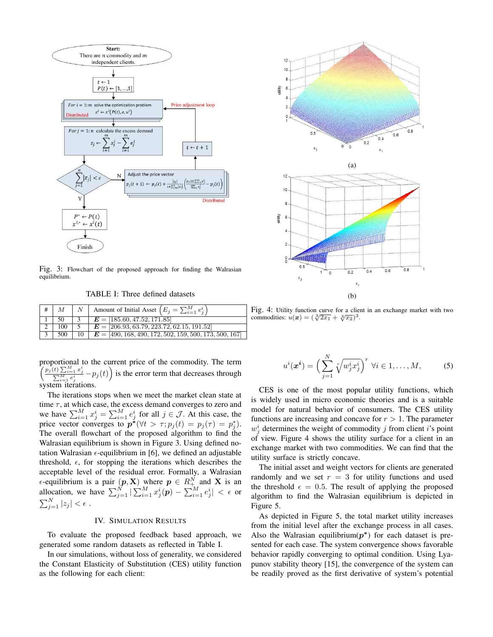

Fig. 3: Flowchart of the proposed approach for finding the Walrasian equilibrium.

TABLE I: Three defined datasets

| $\overline{M}$ | Amount of Initial Asset $(E_j = \sum_{i=1}^{M} e_i^i)$              |
|----------------|---------------------------------------------------------------------|
| -50            | $E = [185.60, 47.52, 171.85]$                                       |
| 100            | $E = [206.93, 63.79, 223.72, 62.15, 191.52]$                        |
|                | 500   10   $E = [490, 168, 490, 172, 502, 159, 500, 173, 500, 167]$ |

proportional to the current price of the commodity. The term  $\left(\frac{p_j(t)\sum_{i=1}^M x_j^i}{\sum_{i=1}^M e_j^i} - p_j(t)\right)$  is the error term that decreases through system iterations.

The iterations stops when we meet the market clean state at time  $\tau$ , at which case, the excess demand converges to zero and we have  $\sum_{i=1}^{M} x_j^i = \sum_{i=1}^{M} e_j^i$  for all  $j \in \mathcal{J}$ . At this case, the price vector converges to  $p^*(\forall t > \tau; p_j(t) = p_j(\tau) = p_j^*).$ The overall flowchart of the proposed algorithm to find the Walrasian equilibrium is shown in Figure 3. Using defined notation Walrasian  $\epsilon$ -equilibrium in [6], we defined an adjustable threshold,  $\epsilon$ , for stopping the iterations which describes the acceptable level of the residual error. Formally, a Walrasian  $\epsilon$ -equilibrium is a pair  $(p, X)$  where  $p \in R^N_{+}$  and X is an allocation, we have  $\sum_{j=1}^{N} |\sum_{i=1}^{M} x_j^i(p) - \sum_{i=1}^{M} e_j^i| < \epsilon$  or  $\sum_{j=1}^N|z_j|<\epsilon$  .

#### IV. SIMULATION RESULTS

To evaluate the proposed feedback based approach, we generated some random datasets as reflected in Table I.

In our simulations, without loss of generality, we considered the Constant Elasticity of Substitution (CES) utility function as the following for each client:



Fig. 4: Utility function curve for a client in an exchange market with two commodities:  $u(x) = (\sqrt[3]{2x_1} + \sqrt[3]{x_2})^3$ .

$$
u^{i}(\boldsymbol{x}^{i}) = \Big(\sum_{j=1}^{N} \sqrt[r]{w_{j}^{i}x_{j}^{i}}\Big)^{r} \ \forall i \in 1, \ldots, M,
$$
 (5)

CES is one of the most popular utility functions, which is widely used in micro economic theories and is a suitable model for natural behavior of consumers. The CES utility functions are increasing and concave for  $r > 1$ . The parameter  $w_j^i$  determines the weight of commodity j from client i's point of view. Figure 4 shows the utility surface for a client in an exchange market with two commodities. We can find that the utility surface is strictly concave.

The initial asset and weight vectors for clients are generated randomly and we set  $r = 3$  for utility functions and used the threshold  $\epsilon = 0.5$ . The result of applying the proposed algorithm to find the Walrasian equilibrium is depicted in Figure 5.

As depicted in Figure 5, the total market utility increases from the initial level after the exchange process in all cases. Also the Walrasian equilibrium $(p^*)$  for each dataset is presented for each case. The system convergence shows favorable behavior rapidly converging to optimal condition. Using Lyapunov stability theory [15], the convergence of the system can be readily proved as the first derivative of system's potential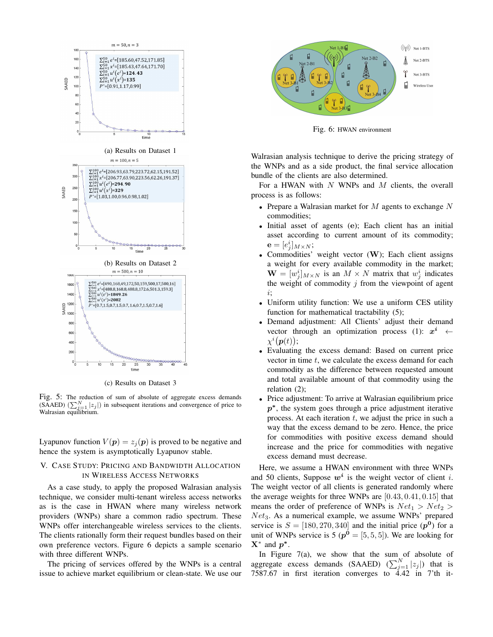

(c) Results on Dataset 3

Fig. 5: The reduction of sum of absolute of aggregate excess demands (SAAED)  $(\sum_{j=1}^{N} |z_j|)$  in subsequent iterations and convergence of price to Walrasian equilibrium.

Lyapunov function  $V(p) = z_j(p)$  is proved to be negative and hence the system is asymptotically Lyapunov stable.

## V. CASE STUDY: PRICING AND BANDWIDTH ALLOCATION IN WIRELESS ACCESS NETWORKS

As a case study, to apply the proposed Walrasian analysis technique, we consider multi-tenant wireless access networks as is the case in HWAN where many wireless network providers (WNPs) share a common radio spectrum. These WNPs offer interchangeable wireless services to the clients. The clients rationally form their request bundles based on their own preference vectors. Figure 6 depicts a sample scenario with three different WNPs.

The pricing of services offered by the WNPs is a central issue to achieve market equilibrium or clean-state. We use our



Fig. 6: HWAN environment

Walrasian analysis technique to derive the pricing strategy of the WNPs and as a side product, the final service allocation bundle of the clients are also determined.

For a HWAN with  $N$  WNPs and  $M$  clients, the overall process is as follows:

- Prepare a Walrasian market for  $M$  agents to exchange  $N$ commodities;
- Initial asset of agents (e); Each client has an initial asset according to current amount of its commodity;  $\mathbf{e}=[e^i_j]_{M\times N};$
- Commodities' weight vector  $(W)$ ; Each client assigns a weight for every available commodity in the market;  $\mathbf{W} = [w_j^i]_{M \times N}$  is an  $M \times N$  matrix that  $w_j^i$  indicates the weight of commodity  $j$  from the viewpoint of agent i;
- Uniform utility function: We use a uniform CES utility function for mathematical tractability (5);
- Demand adjustment: All Clients' adjust their demand vector through an optimization process (1):  $x^i \leftarrow$  $\chi^i(\boldsymbol{p}(t));$
- Evaluating the excess demand: Based on current price vector in time  $t$ , we calculate the excess demand for each commodity as the difference between requested amount and total available amount of that commodity using the relation (2);
- Price adjustment: To arrive at Walrasian equilibrium price p<sup>\*</sup>, the system goes through a price adjustment iterative process. At each iteration  $t$ , we adjust the price in such a way that the excess demand to be zero. Hence, the price for commodities with positive excess demand should increase and the price for commodities with negative excess demand must decrease.

Here, we assume a HWAN environment with three WNPs and 50 clients, Suppose  $w^i$  is the weight vector of client *i*. The weight vector of all clients is generated randomly where the average weights for three WNPs are  $[0.43, 0.41, 0.15]$  that means the order of preference of WNPs is  $Net_1 > Net_2 >$  $Net_3$ . As a numerical example, we assume WNPs' prepared service is  $S = [180, 270, 340]$  and the initial price  $(p^0)$  for a unit of WNPs service is 5 ( $p^0 = [5, 5, 5]$ ). We are looking for  $X^*$  and  $p^*$ .

In Figure  $7(a)$ , we show that the sum of absolute of aggregate excess demands (SAAED)  $(\sum_{j=1}^{N} |z_j|)$  that is 7587.67 in first iteration converges to 4.42 in 7'th it-